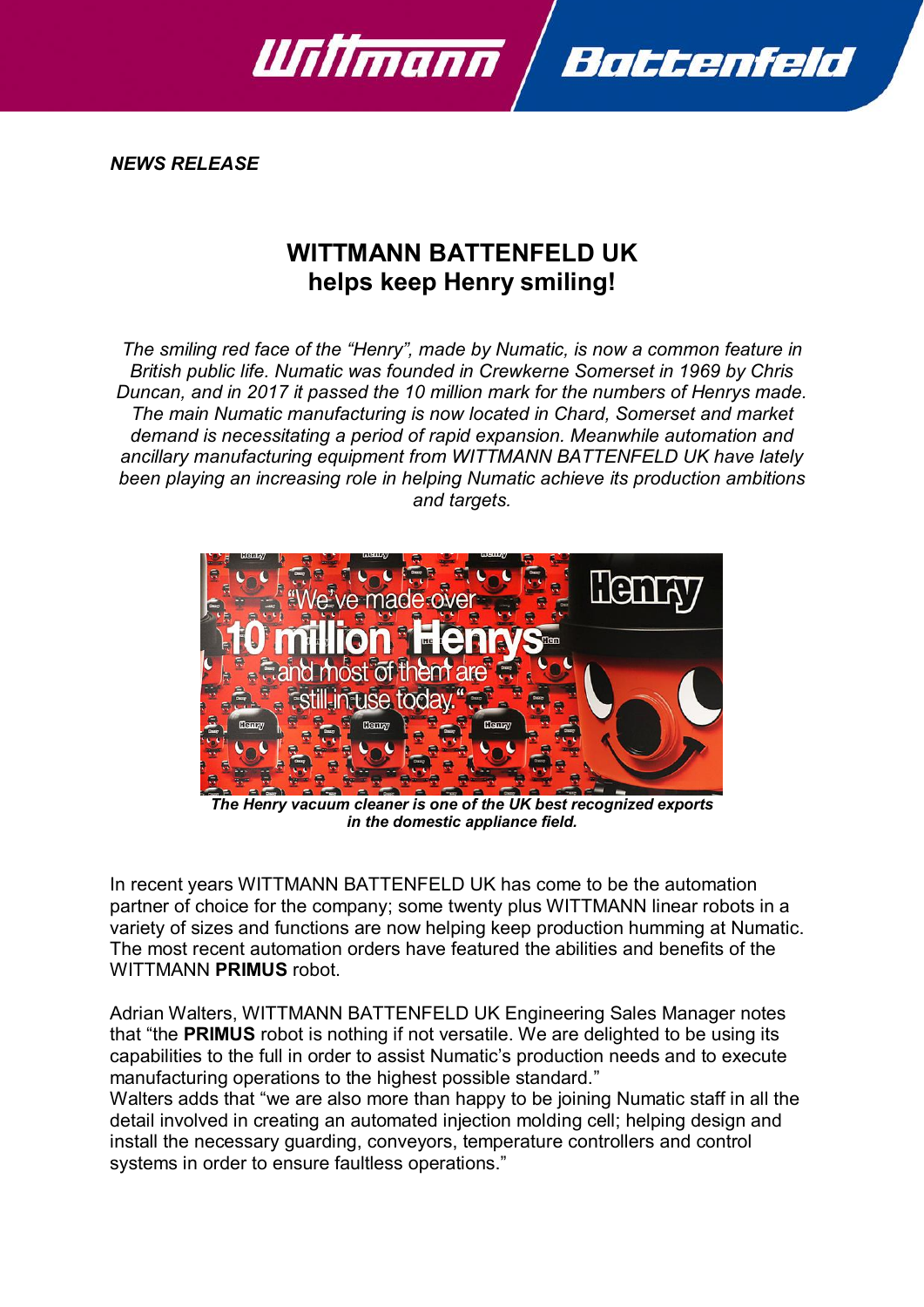

*NEWS RELEASE*

## **WITTMANN BATTENFELD UK helps keep Henry smiling!**

*The smiling red face of the "Henry", made by Numatic, is now a common feature in British public life. Numatic was founded in Crewkerne Somerset in 1969 by Chris Duncan, and in 2017 it passed the 10 million mark for the numbers of Henrys made. The main Numatic manufacturing is now located in Chard, Somerset and market demand is necessitating a period of rapid expansion. Meanwhile automation and ancillary manufacturing equipment from WITTMANN BATTENFELD UK have lately been playing an increasing role in helping Numatic achieve its production ambitions and targets.*



*The Henry vacuum cleaner is one of the UK best recognized exports in the domestic appliance field.*

In recent years WITTMANN BATTENFELD UK has come to be the automation partner of choice for the company; some twenty plus WITTMANN linear robots in a variety of sizes and functions are now helping keep production humming at Numatic. The most recent automation orders have featured the abilities and benefits of the WITTMANN **PRIMUS** robot.

Adrian Walters, WITTMANN BATTENFELD UK Engineering Sales Manager notes that "the **PRIMUS** robot is nothing if not versatile. We are delighted to be using its capabilities to the full in order to assist Numatic's production needs and to execute manufacturing operations to the highest possible standard."

Walters adds that "we are also more than happy to be joining Numatic staff in all the detail involved in creating an automated injection molding cell; helping design and install the necessary guarding, conveyors, temperature controllers and control systems in order to ensure faultless operations."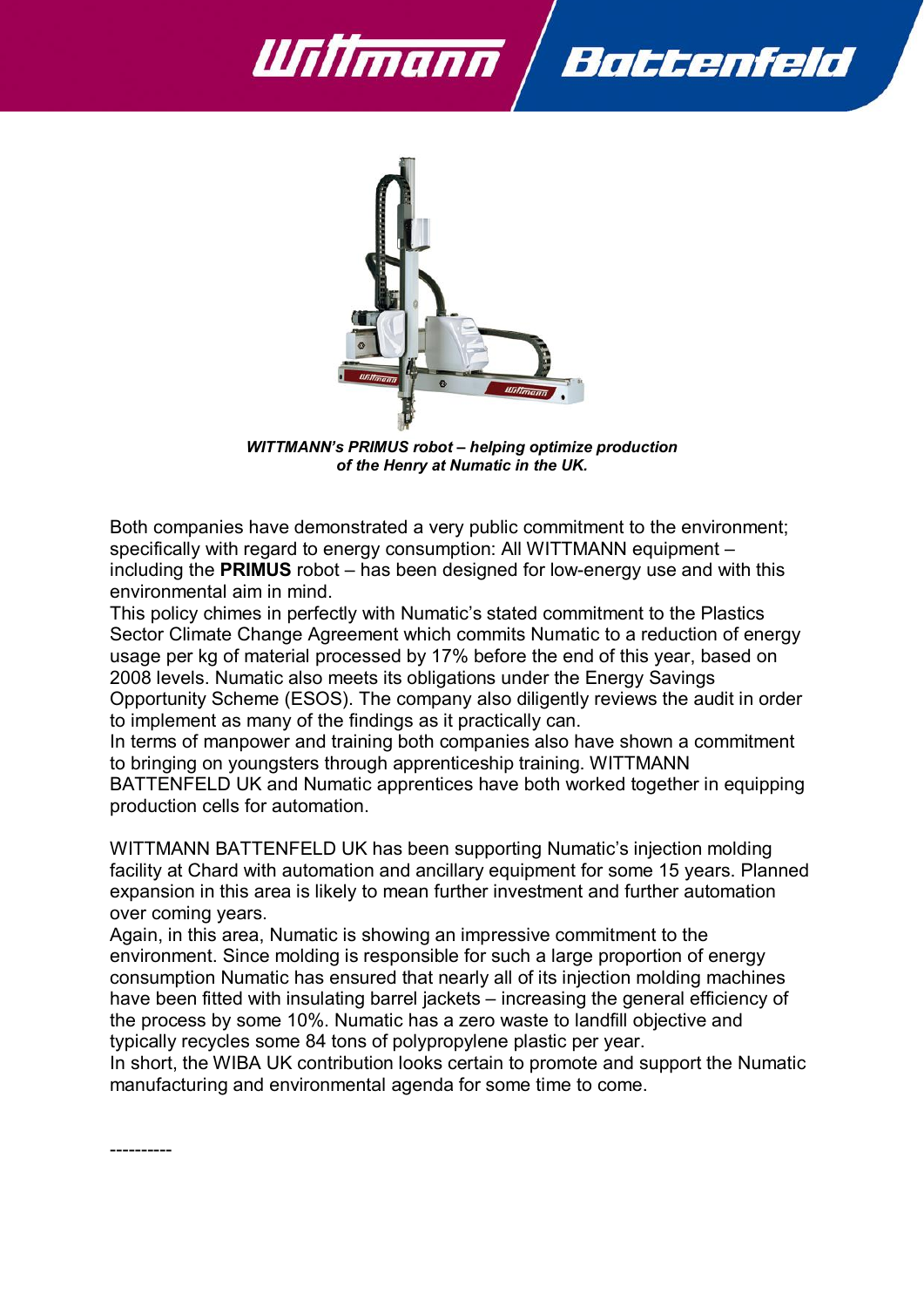



*WITTMANN's PRIMUS robot – helping optimize production of the Henry at Numatic in the UK.*

Both companies have demonstrated a very public commitment to the environment; specifically with regard to energy consumption: All WITTMANN equipment – including the **PRIMUS** robot – has been designed for low-energy use and with this environmental aim in mind.

This policy chimes in perfectly with Numatic's stated commitment to the Plastics Sector Climate Change Agreement which commits Numatic to a reduction of energy usage per kg of material processed by 17% before the end of this year, based on 2008 levels. Numatic also meets its obligations under the Energy Savings Opportunity Scheme (ESOS). The company also diligently reviews the audit in order to implement as many of the findings as it practically can.

In terms of manpower and training both companies also have shown a commitment to bringing on youngsters through apprenticeship training. WITTMANN BATTENFELD UK and Numatic apprentices have both worked together in equipping production cells for automation.

WITTMANN BATTENFELD UK has been supporting Numatic's injection molding facility at Chard with automation and ancillary equipment for some 15 years. Planned expansion in this area is likely to mean further investment and further automation over coming years.

Again, in this area, Numatic is showing an impressive commitment to the environment. Since molding is responsible for such a large proportion of energy consumption Numatic has ensured that nearly all of its injection molding machines have been fitted with insulating barrel jackets – increasing the general efficiency of the process by some 10%. Numatic has a zero waste to landfill objective and typically recycles some 84 tons of polypropylene plastic per year.

In short, the WIBA UK contribution looks certain to promote and support the Numatic manufacturing and environmental agenda for some time to come.

----------